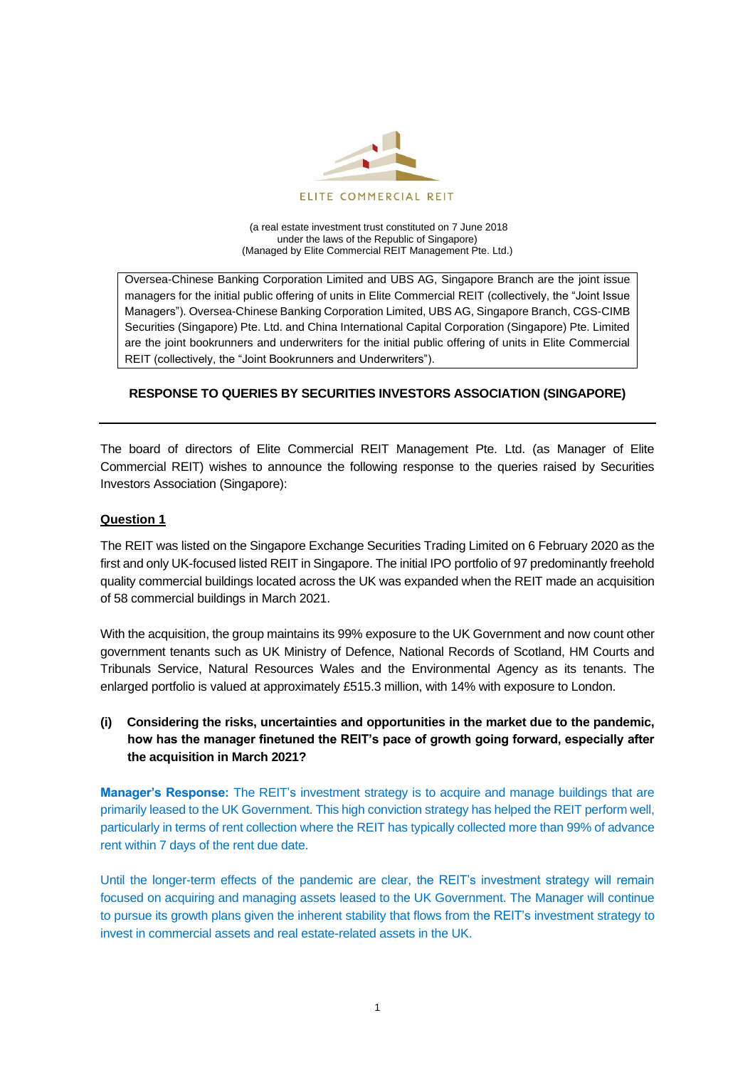

(a real estate investment trust constituted on 7 June 2018 under the laws of the Republic of Singapore) (Managed by Elite Commercial REIT Management Pte. Ltd.)

Oversea-Chinese Banking Corporation Limited and UBS AG, Singapore Branch are the joint issue managers for the initial public offering of units in Elite Commercial REIT (collectively, the "Joint Issue Managers"). Oversea-Chinese Banking Corporation Limited, UBS AG, Singapore Branch, CGS-CIMB Securities (Singapore) Pte. Ltd. and China International Capital Corporation (Singapore) Pte. Limited are the joint bookrunners and underwriters for the initial public offering of units in Elite Commercial REIT (collectively, the "Joint Bookrunners and Underwriters").

# **RESPONSE TO QUERIES BY SECURITIES INVESTORS ASSOCIATION (SINGAPORE)**

The board of directors of Elite Commercial REIT Management Pte. Ltd. (as Manager of Elite Commercial REIT) wishes to announce the following response to the queries raised by Securities Investors Association (Singapore):

## **Question 1**

The REIT was listed on the Singapore Exchange Securities Trading Limited on 6 February 2020 as the first and only UK-focused listed REIT in Singapore. The initial IPO portfolio of 97 predominantly freehold quality commercial buildings located across the UK was expanded when the REIT made an acquisition of 58 commercial buildings in March 2021.

With the acquisition, the group maintains its 99% exposure to the UK Government and now count other government tenants such as UK Ministry of Defence, National Records of Scotland, HM Courts and Tribunals Service, Natural Resources Wales and the Environmental Agency as its tenants. The enlarged portfolio is valued at approximately £515.3 million, with 14% with exposure to London.

# **(i) Considering the risks, uncertainties and opportunities in the market due to the pandemic, how has the manager finetuned the REIT's pace of growth going forward, especially after the acquisition in March 2021?**

**Manager's Response:** The REIT's investment strategy is to acquire and manage buildings that are primarily leased to the UK Government. This high conviction strategy has helped the REIT perform well, particularly in terms of rent collection where the REIT has typically collected more than 99% of advance rent within 7 days of the rent due date.

Until the longer-term effects of the pandemic are clear, the REIT's investment strategy will remain focused on acquiring and managing assets leased to the UK Government. The Manager will continue to pursue its growth plans given the inherent stability that flows from the REIT's investment strategy to invest in commercial assets and real estate-related assets in the UK.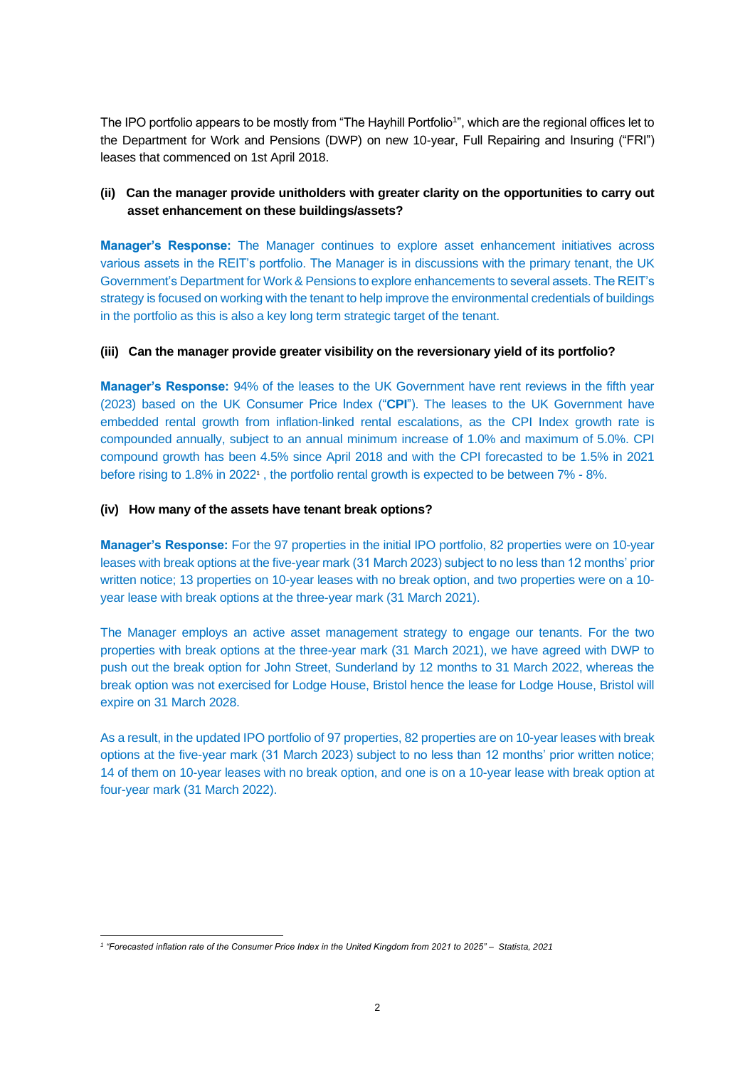The IPO portfolio appears to be mostly from "The Hayhill Portfolio<sup>1</sup>", which are the regional offices let to the Department for Work and Pensions (DWP) on new 10-year, Full Repairing and Insuring ("FRI") leases that commenced on 1st April 2018.

## **(ii) Can the manager provide unitholders with greater clarity on the opportunities to carry out asset enhancement on these buildings/assets?**

**Manager's Response:** The Manager continues to explore asset enhancement initiatives across various assets in the REIT's portfolio. The Manager is in discussions with the primary tenant, the UK Government's Department for Work & Pensions to explore enhancements to several assets. The REIT's strategy is focused on working with the tenant to help improve the environmental credentials of buildings in the portfolio as this is also a key long term strategic target of the tenant.

### **(iii) Can the manager provide greater visibility on the reversionary yield of its portfolio?**

**Manager's Response:** 94% of the leases to the UK Government have rent reviews in the fifth year (2023) based on the UK Consumer Price Index ("**CPI**"). The leases to the UK Government have embedded rental growth from inflation-linked rental escalations, as the CPI Index growth rate is compounded annually, subject to an annual minimum increase of 1.0% and maximum of 5.0%. CPI compound growth has been 4.5% since April 2018 and with the CPI forecasted to be 1.5% in 2021 before rising to 1.8% in 20221, the portfolio rental growth is expected to be between 7% - 8%.

### **(iv) How many of the assets have tenant break options?**

**Manager's Response:** For the 97 properties in the initial IPO portfolio, 82 properties were on 10-year leases with break options at the five-year mark (31 March 2023) subject to no less than 12 months' prior written notice; 13 properties on 10-year leases with no break option, and two properties were on a 10 year lease with break options at the three-year mark (31 March 2021).

The Manager employs an active asset management strategy to engage our tenants. For the two properties with break options at the three-year mark (31 March 2021), we have agreed with DWP to push out the break option for John Street, Sunderland by 12 months to 31 March 2022, whereas the break option was not exercised for Lodge House, Bristol hence the lease for Lodge House, Bristol will expire on 31 March 2028.

As a result, in the updated IPO portfolio of 97 properties, 82 properties are on 10-year leases with break options at the five-year mark (31 March 2023) subject to no less than 12 months' prior written notice; 14 of them on 10-year leases with no break option, and one is on a 10-year lease with break option at four-year mark (31 March 2022).

*<sup>1</sup> "Forecasted inflation rate of the Consumer Price Index in the United Kingdom from 2021 to 2025" – Statista, 2021*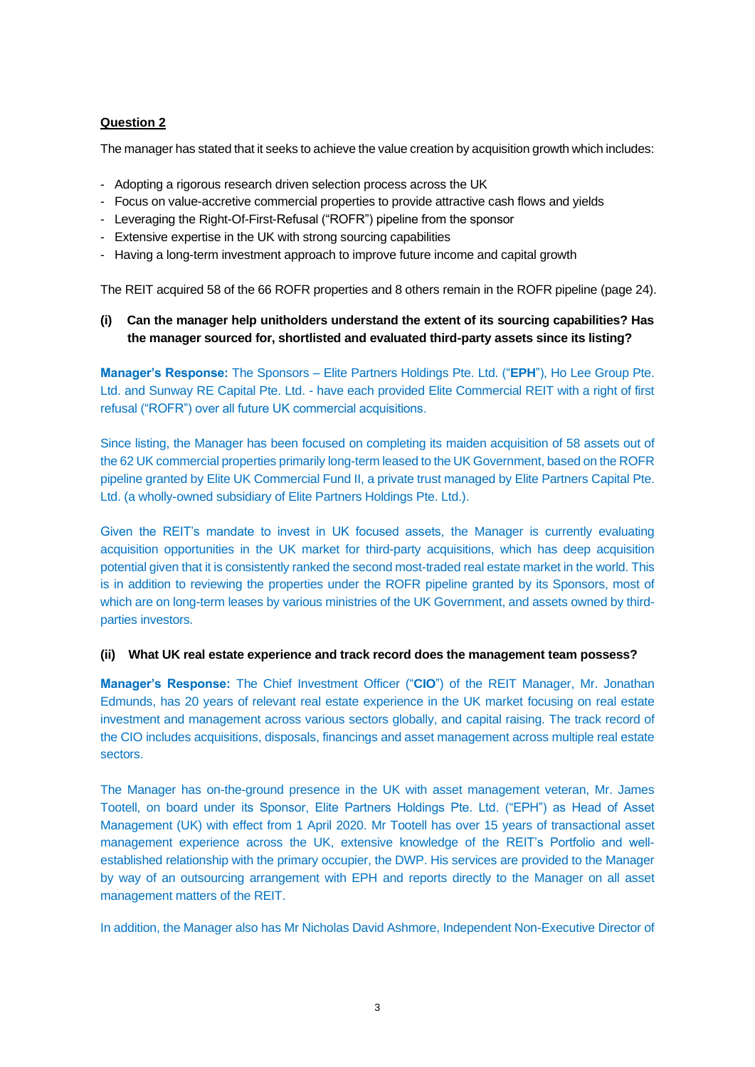## **Question 2**

The manager has stated that it seeks to achieve the value creation by acquisition growth which includes:

- Adopting a rigorous research driven selection process across the UK
- Focus on value-accretive commercial properties to provide attractive cash flows and yields
- Leveraging the Right-Of-First-Refusal ("ROFR") pipeline from the sponsor
- Extensive expertise in the UK with strong sourcing capabilities
- Having a long-term investment approach to improve future income and capital growth

The REIT acquired 58 of the 66 ROFR properties and 8 others remain in the ROFR pipeline (page 24).

## **(i) Can the manager help unitholders understand the extent of its sourcing capabilities? Has the manager sourced for, shortlisted and evaluated third-party assets since its listing?**

**Manager's Response:** The Sponsors – Elite Partners Holdings Pte. Ltd. ("**EPH**"), Ho Lee Group Pte. Ltd. and Sunway RE Capital Pte. Ltd. - have each provided Elite Commercial REIT with a right of first refusal ("ROFR") over all future UK commercial acquisitions.

Since listing, the Manager has been focused on completing its maiden acquisition of 58 assets out of the 62 UK commercial properties primarily long-term leased to the UK Government, based on the ROFR pipeline granted by Elite UK Commercial Fund II, a private trust managed by Elite Partners Capital Pte. Ltd. (a wholly-owned subsidiary of Elite Partners Holdings Pte. Ltd.).

Given the REIT's mandate to invest in UK focused assets, the Manager is currently evaluating acquisition opportunities in the UK market for third-party acquisitions, which has deep acquisition potential given that it is consistently ranked the second most-traded real estate market in the world. This is in addition to reviewing the properties under the ROFR pipeline granted by its Sponsors, most of which are on long-term leases by various ministries of the UK Government, and assets owned by thirdparties investors.

#### **(ii) What UK real estate experience and track record does the management team possess?**

**Manager's Response:** The Chief Investment Officer ("**CIO**") of the REIT Manager, Mr. Jonathan Edmunds, has 20 years of relevant real estate experience in the UK market focusing on real estate investment and management across various sectors globally, and capital raising. The track record of the CIO includes acquisitions, disposals, financings and asset management across multiple real estate sectors.

The Manager has on-the-ground presence in the UK with asset management veteran, Mr. James Tootell, on board under its Sponsor, Elite Partners Holdings Pte. Ltd. ("EPH") as Head of Asset Management (UK) with effect from 1 April 2020. Mr Tootell has over 15 years of transactional asset management experience across the UK, extensive knowledge of the REIT's Portfolio and wellestablished relationship with the primary occupier, the DWP. His services are provided to the Manager by way of an outsourcing arrangement with EPH and reports directly to the Manager on all asset management matters of the REIT.

In addition, the Manager also has Mr Nicholas David Ashmore, Independent Non-Executive Director of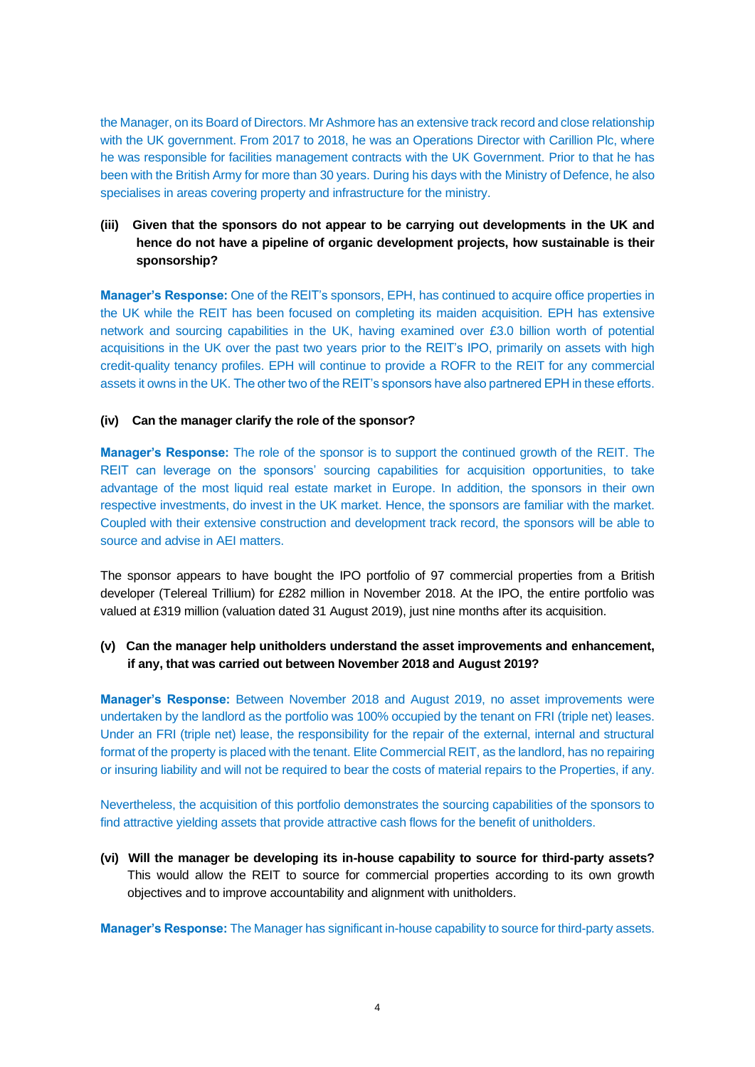the Manager, on its Board of Directors. Mr Ashmore has an extensive track record and close relationship with the UK government. From 2017 to 2018, he was an Operations Director with Carillion Plc, where he was responsible for facilities management contracts with the UK Government. Prior to that he has been with the British Army for more than 30 years. During his days with the Ministry of Defence, he also specialises in areas covering property and infrastructure for the ministry.

# **(iii) Given that the sponsors do not appear to be carrying out developments in the UK and hence do not have a pipeline of organic development projects, how sustainable is their sponsorship?**

**Manager's Response:** One of the REIT's sponsors, EPH, has continued to acquire office properties in the UK while the REIT has been focused on completing its maiden acquisition. EPH has extensive network and sourcing capabilities in the UK, having examined over £3.0 billion worth of potential acquisitions in the UK over the past two years prior to the REIT's IPO, primarily on assets with high credit-quality tenancy profiles. EPH will continue to provide a ROFR to the REIT for any commercial assets it owns in the UK. The other two of the REIT's sponsors have also partnered EPH in these efforts.

### **(iv) Can the manager clarify the role of the sponsor?**

**Manager's Response:** The role of the sponsor is to support the continued growth of the REIT. The REIT can leverage on the sponsors' sourcing capabilities for acquisition opportunities, to take advantage of the most liquid real estate market in Europe. In addition, the sponsors in their own respective investments, do invest in the UK market. Hence, the sponsors are familiar with the market. Coupled with their extensive construction and development track record, the sponsors will be able to source and advise in AEI matters.

The sponsor appears to have bought the IPO portfolio of 97 commercial properties from a British developer (Telereal Trillium) for £282 million in November 2018. At the IPO, the entire portfolio was valued at £319 million (valuation dated 31 August 2019), just nine months after its acquisition.

## **(v) Can the manager help unitholders understand the asset improvements and enhancement, if any, that was carried out between November 2018 and August 2019?**

**Manager's Response:** Between November 2018 and August 2019, no asset improvements were undertaken by the landlord as the portfolio was 100% occupied by the tenant on FRI (triple net) leases. Under an FRI (triple net) lease, the responsibility for the repair of the external, internal and structural format of the property is placed with the tenant. Elite Commercial REIT, as the landlord, has no repairing or insuring liability and will not be required to bear the costs of material repairs to the Properties, if any.

Nevertheless, the acquisition of this portfolio demonstrates the sourcing capabilities of the sponsors to find attractive yielding assets that provide attractive cash flows for the benefit of unitholders.

**(vi) Will the manager be developing its in-house capability to source for third-party assets?** This would allow the REIT to source for commercial properties according to its own growth objectives and to improve accountability and alignment with unitholders.

**Manager's Response:** The Manager has significant in-house capability to source for third-party assets.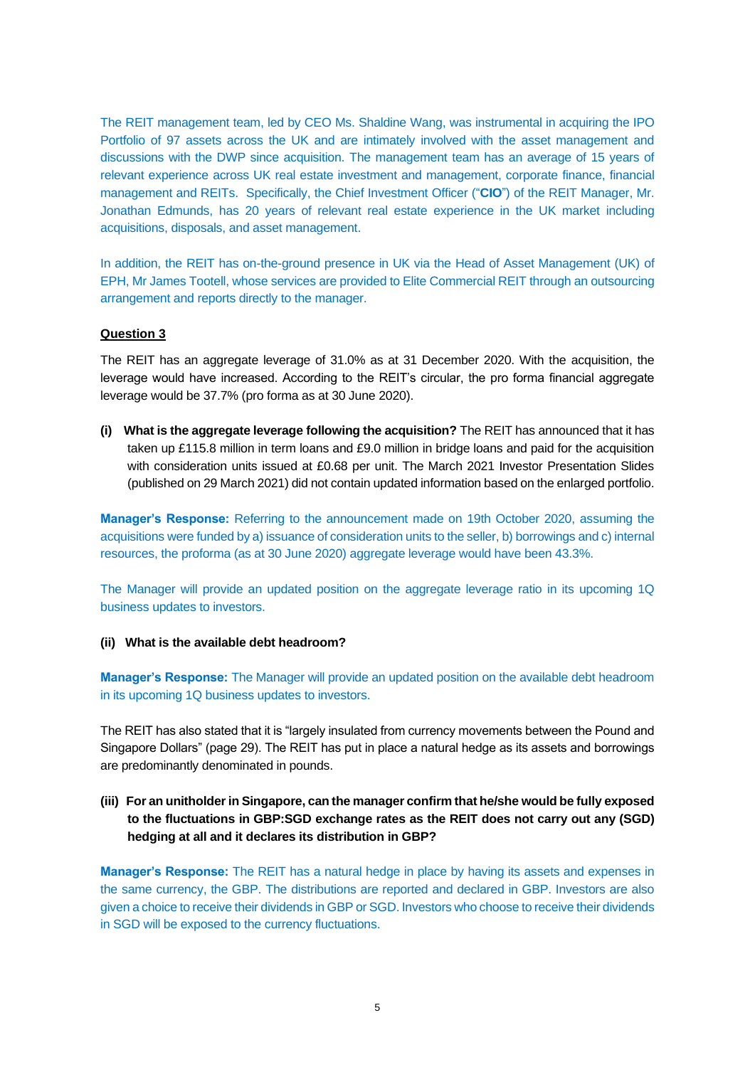The REIT management team, led by CEO Ms. Shaldine Wang, was instrumental in acquiring the IPO Portfolio of 97 assets across the UK and are intimately involved with the asset management and discussions with the DWP since acquisition. The management team has an average of 15 years of relevant experience across UK real estate investment and management, corporate finance, financial management and REITs. Specifically, the Chief Investment Officer ("**CIO**") of the REIT Manager, Mr. Jonathan Edmunds, has 20 years of relevant real estate experience in the UK market including acquisitions, disposals, and asset management.

In addition, the REIT has on-the-ground presence in UK via the Head of Asset Management (UK) of EPH, Mr James Tootell, whose services are provided to Elite Commercial REIT through an outsourcing arrangement and reports directly to the manager.

### **Question 3**

The REIT has an aggregate leverage of 31.0% as at 31 December 2020. With the acquisition, the leverage would have increased. According to the REIT's circular, the pro forma financial aggregate leverage would be 37.7% (pro forma as at 30 June 2020).

**(i) What is the aggregate leverage following the acquisition?** The REIT has announced that it has taken up £115.8 million in term loans and £9.0 million in bridge loans and paid for the acquisition with consideration units issued at £0.68 per unit. The March 2021 Investor Presentation Slides (published on 29 March 2021) did not contain updated information based on the enlarged portfolio.

**Manager's Response:** Referring to the announcement made on 19th October 2020, assuming the acquisitions were funded by a) issuance of consideration units to the seller, b) borrowings and c) internal resources, the proforma (as at 30 June 2020) aggregate leverage would have been 43.3%.

The Manager will provide an updated position on the aggregate leverage ratio in its upcoming 1Q business updates to investors.

## **(ii) What is the available debt headroom?**

**Manager's Response:** The Manager will provide an updated position on the available debt headroom in its upcoming 1Q business updates to investors.

The REIT has also stated that it is "largely insulated from currency movements between the Pound and Singapore Dollars" (page 29). The REIT has put in place a natural hedge as its assets and borrowings are predominantly denominated in pounds.

## **(iii) For an unitholder in Singapore, can the manager confirm that he/she would be fully exposed to the fluctuations in GBP:SGD exchange rates as the REIT does not carry out any (SGD) hedging at all and it declares its distribution in GBP?**

**Manager's Response:** The REIT has a natural hedge in place by having its assets and expenses in the same currency, the GBP. The distributions are reported and declared in GBP. Investors are also given a choice to receive their dividends in GBP or SGD. Investors who choose to receive their dividends in SGD will be exposed to the currency fluctuations.